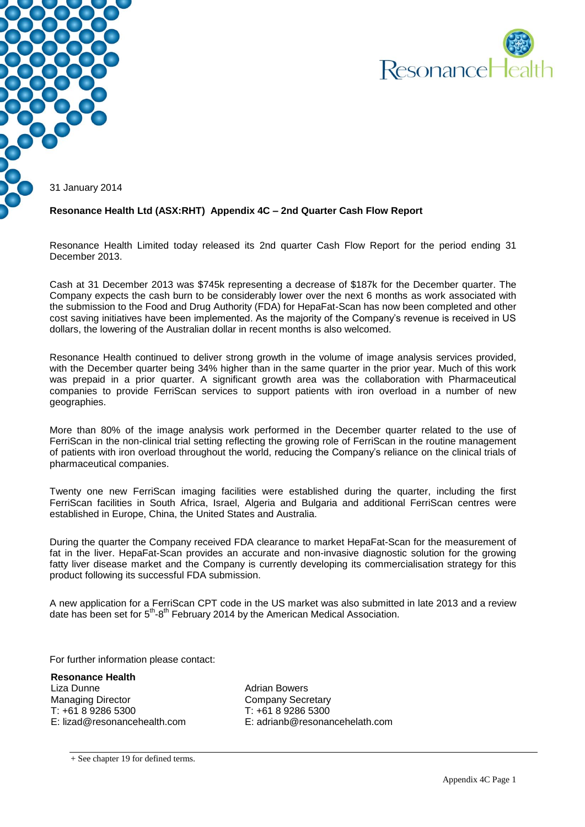



#### **Resonance Health Ltd (ASX:RHT) Appendix 4C – 2nd Quarter Cash Flow Report**

Resonance Health Limited today released its 2nd quarter Cash Flow Report for the period ending 31 December 2013.

Cash at 31 December 2013 was \$745k representing a decrease of \$187k for the December quarter. The Company expects the cash burn to be considerably lower over the next 6 months as work associated with the submission to the Food and Drug Authority (FDA) for HepaFat-Scan has now been completed and other cost saving initiatives have been implemented. As the majority of the Company's revenue is received in US dollars, the lowering of the Australian dollar in recent months is also welcomed.

Resonance Health continued to deliver strong growth in the volume of image analysis services provided, with the December quarter being 34% higher than in the same quarter in the prior year. Much of this work was prepaid in a prior quarter. A significant growth area was the collaboration with Pharmaceutical companies to provide FerriScan services to support patients with iron overload in a number of new geographies.

More than 80% of the image analysis work performed in the December quarter related to the use of FerriScan in the non-clinical trial setting reflecting the growing role of FerriScan in the routine management of patients with iron overload throughout the world, reducing the Company's reliance on the clinical trials of pharmaceutical companies.

Twenty one new FerriScan imaging facilities were established during the quarter, including the first FerriScan facilities in South Africa, Israel, Algeria and Bulgaria and additional FerriScan centres were established in Europe, China, the United States and Australia.

During the quarter the Company received FDA clearance to market HepaFat-Scan for the measurement of fat in the liver. HepaFat-Scan provides an accurate and non-invasive diagnostic solution for the growing fatty liver disease market and the Company is currently developing its commercialisation strategy for this product following its successful FDA submission.

A new application for a FerriScan CPT code in the US market was also submitted in late 2013 and a review date has been set for 5<sup>th</sup>-8<sup>th</sup> February 2014 by the American Medical Association.

For further information please contact:

**Resonance Health** Liza Dunne Managing Director T: +61 8 9286 5300 E: lizad@resonancehealth.com

Adrian Bowers Company Secretary T: +61 8 9286 5300 E: adrianb@resonancehelath.com

<sup>+</sup> See chapter 19 for defined terms.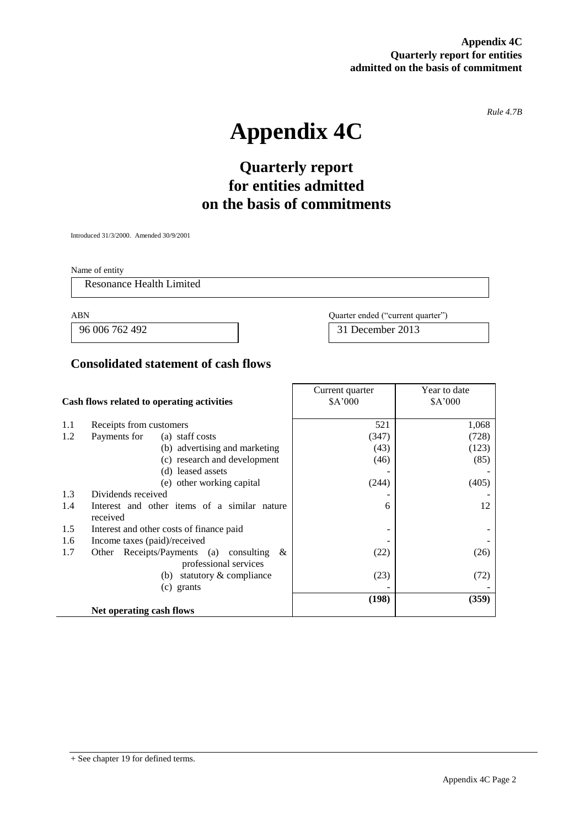**Appendix 4C Quarterly report for entities admitted on the basis of commitment**

*Rule 4.7B*

# **Appendix 4C**

# **Quarterly report for entities admitted on the basis of commitments**

Introduced 31/3/2000. Amended 30/9/2001

Name of entity

Resonance Health Limited

ABN Quarter ended ("current quarter")

96 006 762 492 31 December 2013

### **Consolidated statement of cash flows**

|                                            |                                                | Current quarter | Year to date |
|--------------------------------------------|------------------------------------------------|-----------------|--------------|
| Cash flows related to operating activities |                                                | \$A'000         | \$A'000      |
|                                            |                                                |                 |              |
| 1.1                                        | Receipts from customers                        | 521             | 1,068        |
| 1.2                                        | (a) staff costs<br>Payments for                | (347)           | (728)        |
|                                            | (b) advertising and marketing                  | (43)            | (123)        |
|                                            | (c) research and development                   | (46)            | (85)         |
|                                            | (d) leased assets                              |                 |              |
|                                            | (e) other working capital                      | (244)           | (405)        |
| 1.3                                        | Dividends received                             |                 |              |
| 1.4                                        | Interest and other items of a similar nature   | 6               | 12           |
|                                            | received                                       |                 |              |
| 1.5                                        | Interest and other costs of finance paid       |                 |              |
| 1.6                                        | Income taxes (paid)/received                   |                 |              |
| 1.7                                        | Receipts/Payments (a) consulting $\&$<br>Other | (22)            | (26)         |
|                                            | professional services                          |                 |              |
|                                            | (b) statutory $&$ compliance                   | (23)            | (72)         |
|                                            | $(c)$ grants                                   |                 |              |
|                                            |                                                | (198)           | (359)        |
|                                            | Net operating cash flows                       |                 |              |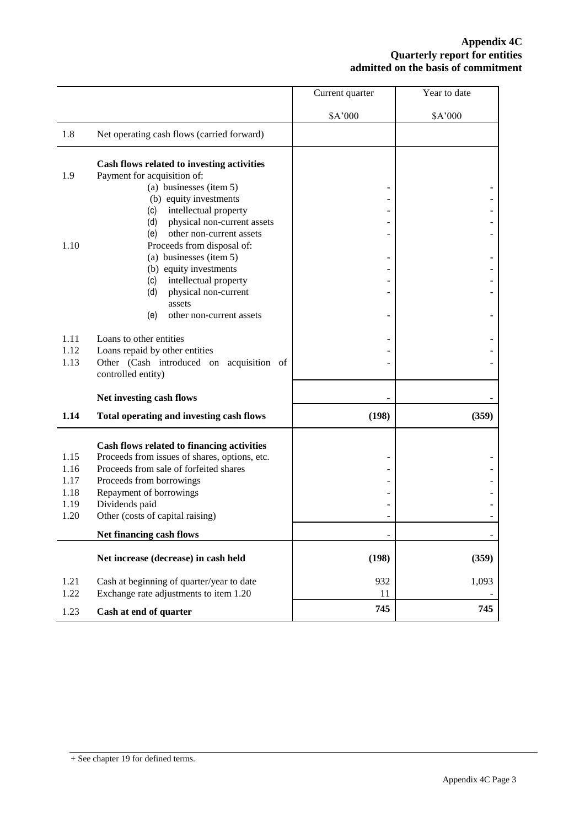#### **Appendix 4C Quarterly report for entities admitted on the basis of commitment**

|      |                                                                                     | Current quarter | Year to date |
|------|-------------------------------------------------------------------------------------|-----------------|--------------|
|      |                                                                                     | \$A'000         | \$A'000      |
| 1.8  | Net operating cash flows (carried forward)                                          |                 |              |
|      | Cash flows related to investing activities                                          |                 |              |
| 1.9  | Payment for acquisition of:                                                         |                 |              |
|      | (a) businesses (item 5)                                                             |                 |              |
|      | (b) equity investments                                                              |                 |              |
|      | intellectual property<br>(c)                                                        |                 |              |
|      | physical non-current assets<br>(d)                                                  |                 |              |
|      | other non-current assets<br>(e)                                                     |                 |              |
| 1.10 | Proceeds from disposal of:                                                          |                 |              |
|      | (a) businesses (item 5)                                                             |                 |              |
|      | (b) equity investments<br>intellectual property<br>(c)                              |                 |              |
|      | (d)<br>physical non-current                                                         |                 |              |
|      | assets                                                                              |                 |              |
|      | (e)<br>other non-current assets                                                     |                 |              |
|      |                                                                                     |                 |              |
| 1.11 | Loans to other entities                                                             |                 |              |
| 1.12 | Loans repaid by other entities                                                      |                 |              |
| 1.13 | Other (Cash introduced on acquisition of<br>controlled entity)                      |                 |              |
|      | Net investing cash flows                                                            |                 |              |
|      |                                                                                     |                 |              |
| 1.14 | Total operating and investing cash flows                                            | (198)           | (359)        |
|      | Cash flows related to financing activities                                          |                 |              |
| 1.15 | Proceeds from issues of shares, options, etc.                                       |                 |              |
| 1.16 | Proceeds from sale of forfeited shares                                              |                 |              |
| 1.17 | Proceeds from borrowings                                                            |                 |              |
| 1.18 | Repayment of borrowings                                                             |                 |              |
| 1.19 | Dividends paid                                                                      |                 |              |
| 1.20 | Other (costs of capital raising)                                                    |                 |              |
|      | Net financing cash flows                                                            |                 |              |
|      | Net increase (decrease) in cash held                                                | (198)           | (359)        |
| 1.21 |                                                                                     | 932             | 1,093        |
| 1.22 | Cash at beginning of quarter/year to date<br>Exchange rate adjustments to item 1.20 | 11              |              |
|      |                                                                                     |                 |              |
| 1.23 | Cash at end of quarter                                                              | 745             | 745          |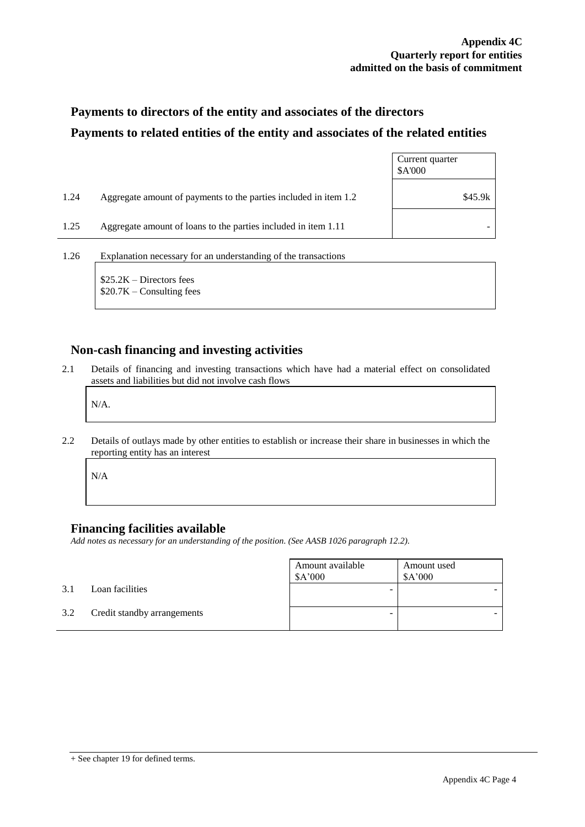## **Payments to directors of the entity and associates of the directors Payments to related entities of the entity and associates of the related entities**

|      |                                                                  | Current quarter<br>\$A'000 |
|------|------------------------------------------------------------------|----------------------------|
| 1.24 | Aggregate amount of payments to the parties included in item 1.2 | \$45.9k                    |
| 1.25 | Aggregate amount of loans to the parties included in item 1.11   |                            |
| 1.26 | Explanation necessary for an understanding of the transactions   |                            |

\$25.2K – Directors fees \$20.7K – Consulting fees

#### **Non-cash financing and investing activities**

2.1 Details of financing and investing transactions which have had a material effect on consolidated assets and liabilities but did not involve cash flows

N/A.

2.2 Details of outlays made by other entities to establish or increase their share in businesses in which the reporting entity has an interest

N/A

### **Financing facilities available**

*Add notes as necessary for an understanding of the position. (See AASB 1026 paragraph 12.2).*

|     |                             | Amount available<br>\$A'000 | Amount used<br>\$A'000 |
|-----|-----------------------------|-----------------------------|------------------------|
| 3.1 | Loan facilities             | -                           |                        |
| 3.2 | Credit standby arrangements | -                           |                        |